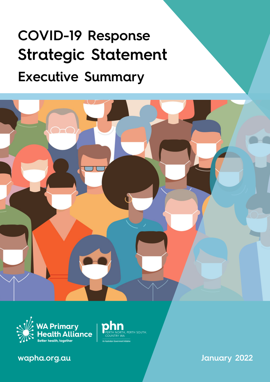# COVID-19 Response Strategic Statement Executive Summary



PERTH SOUTH,

ment Initiative



wapha.org.au

January 2022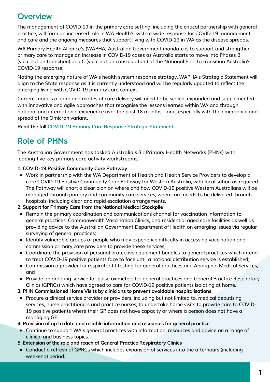## **Overview**

The management of COVID-19 in the primary care setting, including the critical partnership with general practice, will form an increased role in WA Health's system-wide response for COVID-19 management and care and the ongoing measures that support living with COVID-19 in WA as the disease spreads.

WA Primary Health Alliance's (WAPHA) Australian Government mandate is to support and strengthen primary care to manage an increase in COVID-19 cases as Australia starts to move into Phases B (vaccination transition) and C (vaccination consolidation) of the National Plan to transition Australia's COVID-19 response.

Noting the emerging nature of WA's health system response strategy, WAPHA's Strategic Statement will align to the State response as it is currently understood and will be regularly updated to reflect the emerging living with COVID-19 primary care context.

Current models of care and modes of care delivery will need to be scaled, expanded and supplemented with innovative and agile approaches that recognise the lessons learned within WA and through national and international experience over the past 18 months – and, especially with the emergence and spread of the Omicron variant.

**Read the full COVID-19 Primary Care Response Strategic [Statement.](https://www.wapha.org.au/wp-content/uploads/2022/01/COVID-19-Response.pdf)**

## Role of PHNs

The Australian Government has tasked Australia's 31 Primary Health Networks (PHNs) with leading five key primary care activity workstreams:

### **1. COVID-19 Positive Community Care Pathway**

Work in partnership with the WA Department of Health and Health Service Providers to develop a core COVID-19 Positive Community Care Pathway for Western Australia, with localisation as required. The Pathway will chart a clear plan on where and how COVID-19 positive Western Australians will be managed through primary and community care services, when care needs to be delivered through hospitals, including clear and rapid escalation arrangements.

### **2. Support for Primary Care from the National Medical Stockpile**

- Remain the primary coordination and communications channel for vaccination information to general practices, Commonwealth Vaccination Clinics, and residential aged care facilities as well as providing advice to the Australian Government Department of Health on emerging issues via regular surveying of general practices;
- Identify vulnerable groups of people who may experience difficulty in accessing vaccination and commission primary care providers to provide these services;
- Coordinate the provision of personal protective equipment bundles to general practices which intend to treat COVID-19 positive patients face to face until a national distribution service is established;
- Commission a provider for respirator fit testing for general practices and Aboriginal Medical Services; and
- Provide an ordering service for pulse oximeters for general practices and General Practice Respiratory Clinics (GPRCs) which have agreed to care for COVID-19 positive patients isolating at home.
- **3. PHN Commissioned Home Visits by clinicians to prevent avoidable hospitalisations**
- Procure a clinical service provider or providers, including but not limited to, medical deputising services, nurse practitioners and practice nurses, to undertake home visits to provide care to COVID-19 positive patients where their GP does not have capacity or where a person does not have a managing GP.
- **4. Provision of up to date and reliable information and resources for general practice**
- Continue to support WA's general practices with information, resources and advice on a range of clinical and business topics.
- **5. Extension of the role and reach of General Practice Respiratory Clinics**
- Conduct a refresh of GPRCs which includes expansion of services into the afterhours (including weekend) period.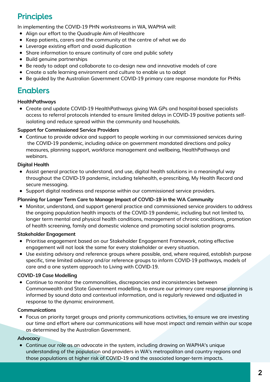## **Principles**

In implementing the COVID-19 PHN workstreams in WA, WAPHA will:

- Align our effort to the Quadruple Aim of Healthcare
- Keep patients, carers and the community at the centre of what we do
- Leverage existing effort and avoid duplication
- Share information to ensure continuity of care and public safety
- Build genuine partnerships
- Be ready to adapt and collaborate to co-design new and innovative models of care
- Create a safe learning environment and culture to enable us to adapt
- Be guided by the Australian Government COVID-19 primary care response mandate for PHNs

## Enablers

#### **HealthPathways**

Create and update COVID-19 HealthPathways giving WA GPs and hospital-based specialists access to referral protocols intended to ensure limited delays in COVID-19 positive patients selfisolating and reduce spread within the community and households.

#### **Support for Commissioned Service Providers**

Continue to provide advice and support to people working in our commissioned services during the COVID-19 pandemic, including advice on government mandated directions and policy measures, planning support, workforce management and wellbeing, HealthPathways and webinars.

### **Digital Health**

- Assist general practice to understand, and use, digital health solutions in a meaningful way throughout the COVID-19 pandemic, including telehealth, e-prescribing, My Health Record and secure messaging.
- Support digital readiness and response within our commissioned service providers.

#### **Planning for Longer Term Care to Manage Impact of COVID-19 in the WA Community**

Monitor, understand, and support general practice and commissioned service providers to address the ongoing population health impacts of the COVID-19 pandemic, including but not limited to, longer term mental and physical health conditions, management of chronic conditions, promotion of health screening, family and domestic violence and promoting social isolation programs.

#### **Stakeholder Engagement**

- Prioritise engagement based on our Stakeholder Engagement Framework, noting effective engagement will not look the same for every stakeholder or every situation.
- Use existing advisory and reference groups where possible, and, where required, establish purpose specific, time limited advisory and/or reference groups to inform COVID-19 pathways, models of care and a one system approach to Living with COVID-19.

### **COVID-19 Case Modelling**

Continue to monitor the commonalities, discrepancies and inconsistencies between Commonwealth and State Government modelling, to ensure our primary care response planning is informed by sound data and contextual information, and is regularly reviewed and adjusted in response to the dynamic environment.

#### **Communications**

Focus on priority target groups and priority communications activities, to ensure we are investing our time and effort where our communications will have most impact and remain within our scope as determined by the Australian Government.

#### **Advocacy**

Continue our role as an advocate in the system, including drawing on WAPHA's unique understanding of the population and providers in WA's metropolitan and country regions and those populations at higher risk of COVID-19 and the associated longer-term impacts.